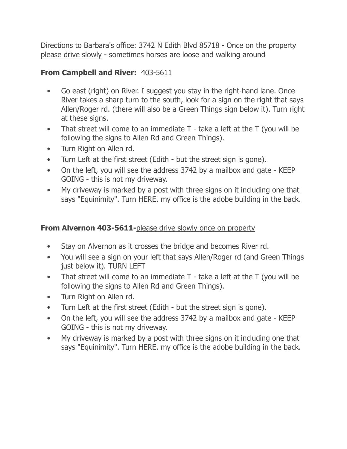Directions to Barbara's office: 3742 N Edith Blvd 85718 - Once on the property please drive slowly - sometimes horses are loose and walking around

## **From Campbell and River:** 403-5611

- Go east (right) on River. I suggest you stay in the right-hand lane. Once River takes a sharp turn to the south, look for a sign on the right that says Allen/Roger rd. (there will also be a Green Things sign below it). Turn right at these signs.
- That street will come to an immediate T take a left at the T (you will be following the signs to Allen Rd and Green Things).
- Turn Right on Allen rd.
- Turn Left at the first street (Edith but the street sign is gone).
- On the left, you will see the address 3742 by a mailbox and gate KEEP GOING - this is not my driveway.
- My driveway is marked by a post with three signs on it including one that says "Equinimity". Turn HERE. my office is the adobe building in the back.

## **From Alvernon 403-5611-**please drive slowly once on property

- Stay on Alvernon as it crosses the bridge and becomes River rd.
- You will see a sign on your left that says Allen/Roger rd (and Green Things just below it). TURN LEFT
- That street will come to an immediate T take a left at the T (you will be following the signs to Allen Rd and Green Things).
- Turn Right on Allen rd.
- Turn Left at the first street (Edith but the street sign is gone).
- On the left, you will see the address 3742 by a mailbox and gate KEEP GOING - this is not my driveway.
- My driveway is marked by a post with three signs on it including one that says "Equinimity". Turn HERE. my office is the adobe building in the back.